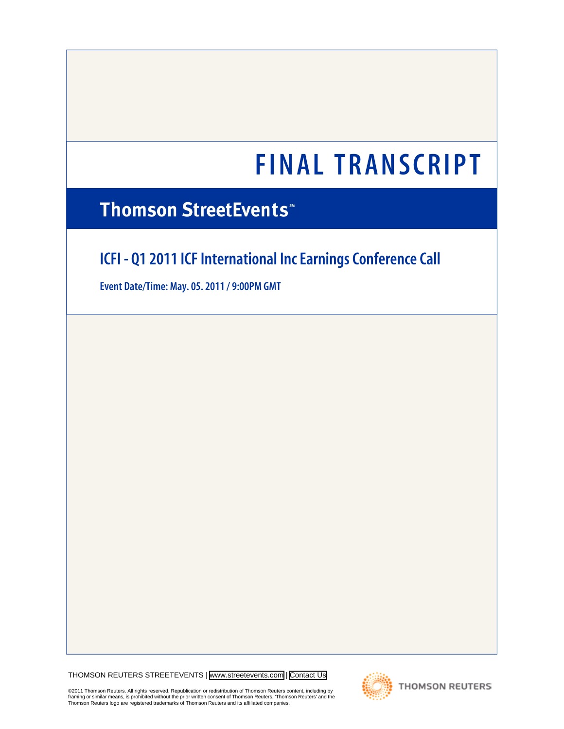# **Thomson StreetEvents**\*

# **ICFI - Q1 2011 ICF International Inc Earnings Conference Call**

**Event Date/Time: May. 05. 2011 / 9:00PM GMT**

THOMSON REUTERS STREETEVENTS | [www.streetevents.com](http://www.streetevents.com) | [Contact Us](http://www010.streetevents.com/contact.asp)

©2011 Thomson Reuters. All rights reserved. Republication or redistribution of Thomson Reuters content, including by<br>framing or similar means, is prohibited without the prior written consent of Thomson Reuters. 'Thomson Re

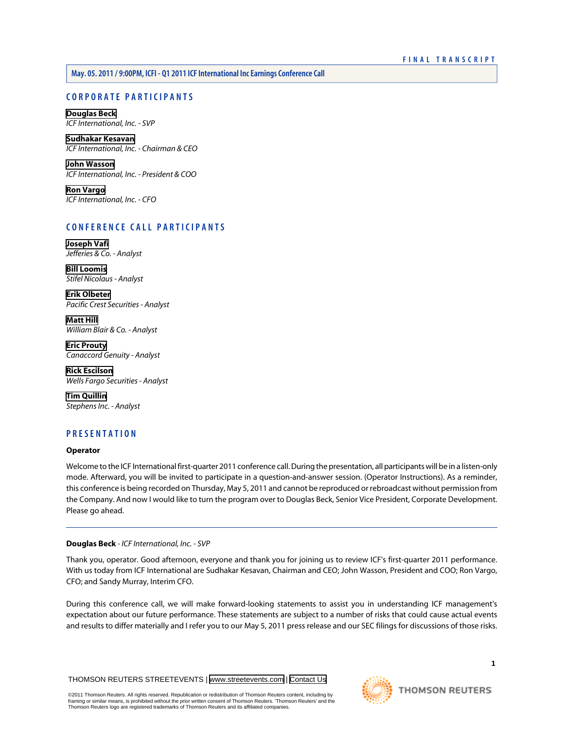**May. 05. 2011 / 9:00PM, ICFI - Q1 2011 ICF International Inc Earnings Conference Call**

# **CORPORATE PARTICIPANTS**

# **[Douglas Beck](#page-1-0)** *ICF International, Inc. - SVP*

**[Sudhakar Kesavan](#page-2-0)** *ICF International, Inc. - Chairman & CEO*

**[John Wasson](#page-3-0)** *ICF International, Inc. - President & COO*

**[Ron Vargo](#page-4-0)** *ICF International, Inc. - CFO*

# **CONFERENCE CALL PARTICIPANTS**

**[Joseph Vafi](#page-5-0)** *Jefferies & Co. - Analyst*

**[Bill Loomis](#page-6-0)** *Stifel Nicolaus - Analyst*

**[Erik Olbeter](#page-7-0)** *Pacific Crest Securities - Analyst*

**[Matt Hill](#page-7-1)** *William Blair & Co. - Analyst*

**[Eric Prouty](#page-8-0)** *Canaccord Genuity - Analyst*

**[Rick Escilson](#page-9-0)** *Wells Fargo Securities - Analyst*

**[Tim Quillin](#page-9-1)** *Stephens Inc. - Analyst*

# **PRESENTATION**

# **Operator**

<span id="page-1-0"></span>Welcome to the ICF International first-quarter 2011 conference call. During the presentation, all participants will be in a listen-only mode. Afterward, you will be invited to participate in a question-and-answer session. (Operator Instructions). As a reminder, this conference is being recorded on Thursday, May 5, 2011 and cannot be reproduced or rebroadcast without permission from the Company. And now I would like to turn the program over to Douglas Beck, Senior Vice President, Corporate Development. Please go ahead.

# **Douglas Beck** *- ICF International, Inc. - SVP*

Thank you, operator. Good afternoon, everyone and thank you for joining us to review ICF's first-quarter 2011 performance. With us today from ICF International are Sudhakar Kesavan, Chairman and CEO; John Wasson, President and COO; Ron Vargo, CFO; and Sandy Murray, Interim CFO.

During this conference call, we will make forward-looking statements to assist you in understanding ICF management's expectation about our future performance. These statements are subject to a number of risks that could cause actual events and results to differ materially and I refer you to our May 5, 2011 press release and our SEC filings for discussions of those risks.

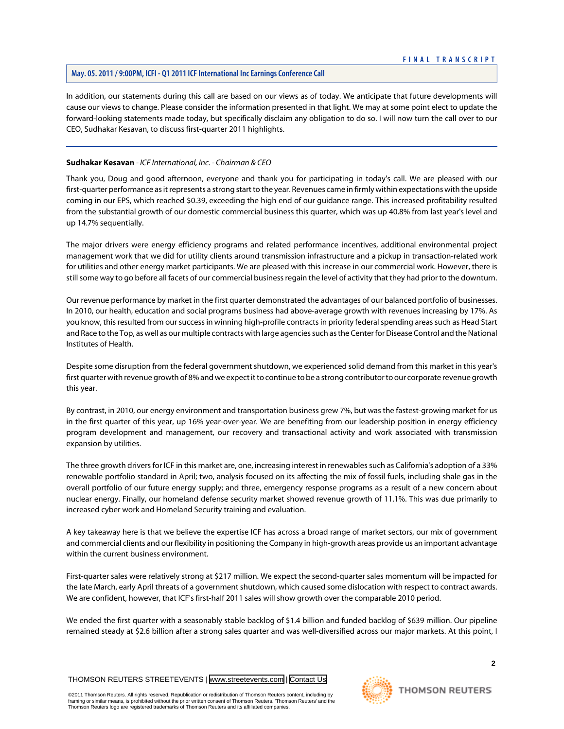# **May. 05. 2011 / 9:00PM, ICFI - Q1 2011 ICF International Inc Earnings Conference Call**

In addition, our statements during this call are based on our views as of today. We anticipate that future developments will cause our views to change. Please consider the information presented in that light. We may at some point elect to update the forward-looking statements made today, but specifically disclaim any obligation to do so. I will now turn the call over to our CEO, Sudhakar Kesavan, to discuss first-quarter 2011 highlights.

# <span id="page-2-0"></span>**Sudhakar Kesavan** *- ICF International, Inc. - Chairman & CEO*

Thank you, Doug and good afternoon, everyone and thank you for participating in today's call. We are pleased with our first-quarter performance as it represents a strong start to the year. Revenues came in firmly within expectations with the upside coming in our EPS, which reached \$0.39, exceeding the high end of our guidance range. This increased profitability resulted from the substantial growth of our domestic commercial business this quarter, which was up 40.8% from last year's level and up 14.7% sequentially.

The major drivers were energy efficiency programs and related performance incentives, additional environmental project management work that we did for utility clients around transmission infrastructure and a pickup in transaction-related work for utilities and other energy market participants. We are pleased with this increase in our commercial work. However, there is still some way to go before all facets of our commercial business regain the level of activity that they had prior to the downturn.

Our revenue performance by market in the first quarter demonstrated the advantages of our balanced portfolio of businesses. In 2010, our health, education and social programs business had above-average growth with revenues increasing by 17%. As you know, this resulted from our success in winning high-profile contracts in priority federal spending areas such as Head Start and Race to the Top, as well as our multiple contracts with large agencies such as the Center for Disease Control and the National Institutes of Health.

Despite some disruption from the federal government shutdown, we experienced solid demand from this market in this year's first quarter with revenue growth of 8% and we expect it to continue to be a strong contributor to our corporate revenue growth this year.

By contrast, in 2010, our energy environment and transportation business grew 7%, but was the fastest-growing market for us in the first quarter of this year, up 16% year-over-year. We are benefiting from our leadership position in energy efficiency program development and management, our recovery and transactional activity and work associated with transmission expansion by utilities.

The three growth drivers for ICF in this market are, one, increasing interest in renewables such as California's adoption of a 33% renewable portfolio standard in April; two, analysis focused on its affecting the mix of fossil fuels, including shale gas in the overall portfolio of our future energy supply; and three, emergency response programs as a result of a new concern about nuclear energy. Finally, our homeland defense security market showed revenue growth of 11.1%. This was due primarily to increased cyber work and Homeland Security training and evaluation.

A key takeaway here is that we believe the expertise ICF has across a broad range of market sectors, our mix of government and commercial clients and our flexibility in positioning the Company in high-growth areas provide us an important advantage within the current business environment.

First-quarter sales were relatively strong at \$217 million. We expect the second-quarter sales momentum will be impacted for the late March, early April threats of a government shutdown, which caused some dislocation with respect to contract awards. We are confident, however, that ICF's first-half 2011 sales will show growth over the comparable 2010 period.

We ended the first quarter with a seasonably stable backlog of \$1.4 billion and funded backlog of \$639 million. Our pipeline remained steady at \$2.6 billion after a strong sales quarter and was well-diversified across our major markets. At this point, I

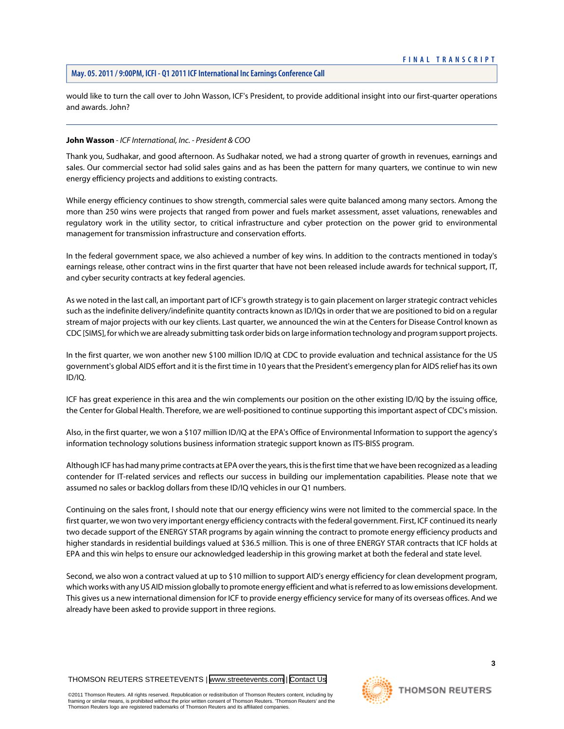would like to turn the call over to John Wasson, ICF's President, to provide additional insight into our first-quarter operations and awards. John?

# <span id="page-3-0"></span>**John Wasson** *- ICF International, Inc. - President & COO*

Thank you, Sudhakar, and good afternoon. As Sudhakar noted, we had a strong quarter of growth in revenues, earnings and sales. Our commercial sector had solid sales gains and as has been the pattern for many quarters, we continue to win new energy efficiency projects and additions to existing contracts.

While energy efficiency continues to show strength, commercial sales were quite balanced among many sectors. Among the more than 250 wins were projects that ranged from power and fuels market assessment, asset valuations, renewables and regulatory work in the utility sector, to critical infrastructure and cyber protection on the power grid to environmental management for transmission infrastructure and conservation efforts.

In the federal government space, we also achieved a number of key wins. In addition to the contracts mentioned in today's earnings release, other contract wins in the first quarter that have not been released include awards for technical support, IT, and cyber security contracts at key federal agencies.

As we noted in the last call, an important part of ICF's growth strategy is to gain placement on larger strategic contract vehicles such as the indefinite delivery/indefinite quantity contracts known as ID/IQs in order that we are positioned to bid on a regular stream of major projects with our key clients. Last quarter, we announced the win at the Centers for Disease Control known as CDC [SIMS], for which we are already submitting task order bids on large information technology and program support projects.

In the first quarter, we won another new \$100 million ID/IQ at CDC to provide evaluation and technical assistance for the US government's global AIDS effort and it is the first time in 10 years that the President's emergency plan for AIDS relief has its own ID/IQ.

ICF has great experience in this area and the win complements our position on the other existing ID/IQ by the issuing office, the Center for Global Health. Therefore, we are well-positioned to continue supporting this important aspect of CDC's mission.

Also, in the first quarter, we won a \$107 million ID/IQ at the EPA's Office of Environmental Information to support the agency's information technology solutions business information strategic support known as ITS-BISS program.

Although ICF has had many prime contracts at EPA over the years, this is the first time that we have been recognized as a leading contender for IT-related services and reflects our success in building our implementation capabilities. Please note that we assumed no sales or backlog dollars from these ID/IQ vehicles in our Q1 numbers.

Continuing on the sales front, I should note that our energy efficiency wins were not limited to the commercial space. In the first quarter, we won two very important energy efficiency contracts with the federal government. First, ICF continued its nearly two decade support of the ENERGY STAR programs by again winning the contract to promote energy efficiency products and higher standards in residential buildings valued at \$36.5 million. This is one of three ENERGY STAR contracts that ICF holds at EPA and this win helps to ensure our acknowledged leadership in this growing market at both the federal and state level.

Second, we also won a contract valued at up to \$10 million to support AID's energy efficiency for clean development program, which works with any US AID mission globally to promote energy efficient and what is referred to as low emissions development. This gives us a new international dimension for ICF to provide energy efficiency service for many of its overseas offices. And we already have been asked to provide support in three regions.



**3**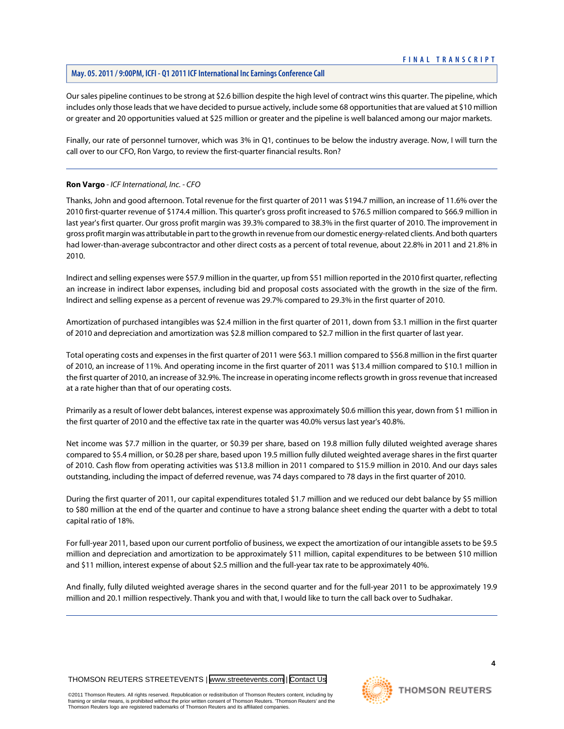# **May. 05. 2011 / 9:00PM, ICFI - Q1 2011 ICF International Inc Earnings Conference Call**

Our sales pipeline continues to be strong at \$2.6 billion despite the high level of contract wins this quarter. The pipeline, which includes only those leads that we have decided to pursue actively, include some 68 opportunities that are valued at \$10 million or greater and 20 opportunities valued at \$25 million or greater and the pipeline is well balanced among our major markets.

Finally, our rate of personnel turnover, which was 3% in Q1, continues to be below the industry average. Now, I will turn the call over to our CFO, Ron Vargo, to review the first-quarter financial results. Ron?

# <span id="page-4-0"></span>**Ron Vargo** *- ICF International, Inc. - CFO*

Thanks, John and good afternoon. Total revenue for the first quarter of 2011 was \$194.7 million, an increase of 11.6% over the 2010 first-quarter revenue of \$174.4 million. This quarter's gross profit increased to \$76.5 million compared to \$66.9 million in last year's first quarter. Our gross profit margin was 39.3% compared to 38.3% in the first quarter of 2010. The improvement in gross profit margin was attributable in part to the growth in revenue from our domestic energy-related clients. And both quarters had lower-than-average subcontractor and other direct costs as a percent of total revenue, about 22.8% in 2011 and 21.8% in 2010.

Indirect and selling expenses were \$57.9 million in the quarter, up from \$51 million reported in the 2010 first quarter, reflecting an increase in indirect labor expenses, including bid and proposal costs associated with the growth in the size of the firm. Indirect and selling expense as a percent of revenue was 29.7% compared to 29.3% in the first quarter of 2010.

Amortization of purchased intangibles was \$2.4 million in the first quarter of 2011, down from \$3.1 million in the first quarter of 2010 and depreciation and amortization was \$2.8 million compared to \$2.7 million in the first quarter of last year.

Total operating costs and expenses in the first quarter of 2011 were \$63.1 million compared to \$56.8 million in the first quarter of 2010, an increase of 11%. And operating income in the first quarter of 2011 was \$13.4 million compared to \$10.1 million in the first quarter of 2010, an increase of 32.9%. The increase in operating income reflects growth in gross revenue that increased at a rate higher than that of our operating costs.

Primarily as a result of lower debt balances, interest expense was approximately \$0.6 million this year, down from \$1 million in the first quarter of 2010 and the effective tax rate in the quarter was 40.0% versus last year's 40.8%.

Net income was \$7.7 million in the quarter, or \$0.39 per share, based on 19.8 million fully diluted weighted average shares compared to \$5.4 million, or \$0.28 per share, based upon 19.5 million fully diluted weighted average shares in the first quarter of 2010. Cash flow from operating activities was \$13.8 million in 2011 compared to \$15.9 million in 2010. And our days sales outstanding, including the impact of deferred revenue, was 74 days compared to 78 days in the first quarter of 2010.

During the first quarter of 2011, our capital expenditures totaled \$1.7 million and we reduced our debt balance by \$5 million to \$80 million at the end of the quarter and continue to have a strong balance sheet ending the quarter with a debt to total capital ratio of 18%.

For full-year 2011, based upon our current portfolio of business, we expect the amortization of our intangible assets to be \$9.5 million and depreciation and amortization to be approximately \$11 million, capital expenditures to be between \$10 million and \$11 million, interest expense of about \$2.5 million and the full-year tax rate to be approximately 40%.

And finally, fully diluted weighted average shares in the second quarter and for the full-year 2011 to be approximately 19.9 million and 20.1 million respectively. Thank you and with that, I would like to turn the call back over to Sudhakar.

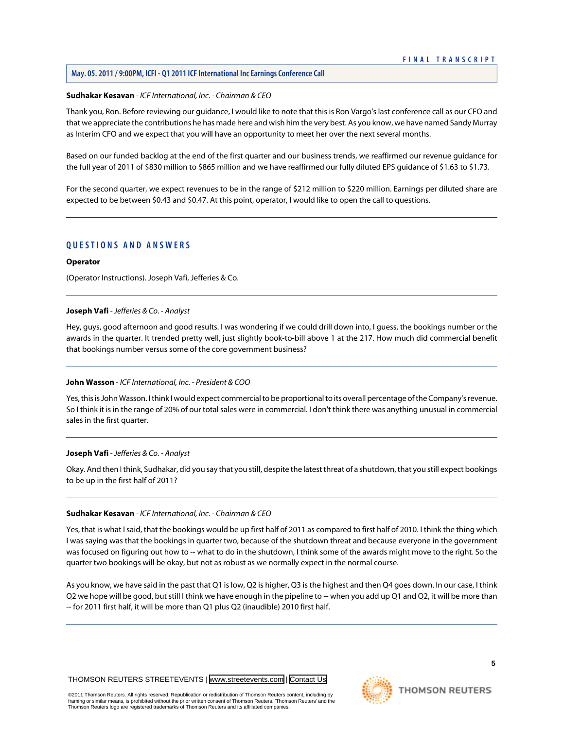# **May. 05. 2011 / 9:00PM, ICFI - Q1 2011 ICF International Inc Earnings Conference Call**

#### **Sudhakar Kesavan** *- ICF International, Inc. - Chairman & CEO*

Thank you, Ron. Before reviewing our guidance, I would like to note that this is Ron Vargo's last conference call as our CFO and that we appreciate the contributions he has made here and wish him the very best. As you know, we have named Sandy Murray as Interim CFO and we expect that you will have an opportunity to meet her over the next several months.

Based on our funded backlog at the end of the first quarter and our business trends, we reaffirmed our revenue guidance for the full year of 2011 of \$830 million to \$865 million and we have reaffirmed our fully diluted EPS guidance of \$1.63 to \$1.73.

For the second quarter, we expect revenues to be in the range of \$212 million to \$220 million. Earnings per diluted share are expected to be between \$0.43 and \$0.47. At this point, operator, I would like to open the call to questions.

# **QUESTIONS AND ANSWERS**

# **Operator**

<span id="page-5-0"></span>(Operator Instructions). Joseph Vafi, Jefferies & Co.

#### **Joseph Vafi** *- Jefferies & Co. - Analyst*

Hey, guys, good afternoon and good results. I was wondering if we could drill down into, I guess, the bookings number or the awards in the quarter. It trended pretty well, just slightly book-to-bill above 1 at the 217. How much did commercial benefit that bookings number versus some of the core government business?

# **John Wasson** *- ICF International, Inc. - President & COO*

Yes, this is John Wasson. I think I would expect commercial to be proportional to its overall percentage of the Company's revenue. So I think it is in the range of 20% of our total sales were in commercial. I don't think there was anything unusual in commercial sales in the first quarter.

#### **Joseph Vafi** *- Jefferies & Co. - Analyst*

Okay. And then I think, Sudhakar, did you say that you still, despite the latest threat of a shutdown, that you still expect bookings to be up in the first half of 2011?

#### **Sudhakar Kesavan** *- ICF International, Inc. - Chairman & CEO*

Yes, that is what I said, that the bookings would be up first half of 2011 as compared to first half of 2010. I think the thing which I was saying was that the bookings in quarter two, because of the shutdown threat and because everyone in the government was focused on figuring out how to -- what to do in the shutdown, I think some of the awards might move to the right. So the quarter two bookings will be okay, but not as robust as we normally expect in the normal course.

As you know, we have said in the past that Q1 is low, Q2 is higher, Q3 is the highest and then Q4 goes down. In our case, I think Q2 we hope will be good, but still I think we have enough in the pipeline to -- when you add up Q1 and Q2, it will be more than -- for 2011 first half, it will be more than Q1 plus Q2 (inaudible) 2010 first half.

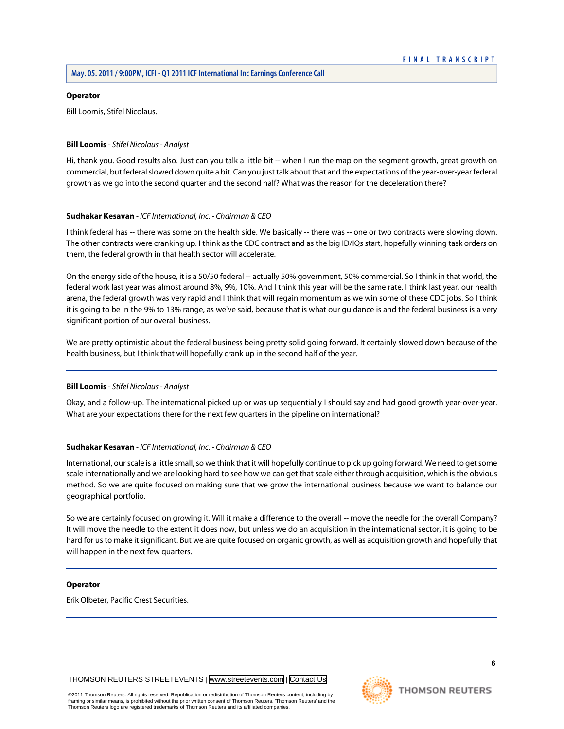#### **Operator**

Bill Loomis, Stifel Nicolaus.

# <span id="page-6-0"></span>**Bill Loomis** *- Stifel Nicolaus - Analyst*

Hi, thank you. Good results also. Just can you talk a little bit -- when I run the map on the segment growth, great growth on commercial, but federal slowed down quite a bit. Can you just talk about that and the expectations of the year-over-year federal growth as we go into the second quarter and the second half? What was the reason for the deceleration there?

# **Sudhakar Kesavan** *- ICF International, Inc. - Chairman & CEO*

I think federal has -- there was some on the health side. We basically -- there was -- one or two contracts were slowing down. The other contracts were cranking up. I think as the CDC contract and as the big ID/IQs start, hopefully winning task orders on them, the federal growth in that health sector will accelerate.

On the energy side of the house, it is a 50/50 federal -- actually 50% government, 50% commercial. So I think in that world, the federal work last year was almost around 8%, 9%, 10%. And I think this year will be the same rate. I think last year, our health arena, the federal growth was very rapid and I think that will regain momentum as we win some of these CDC jobs. So I think it is going to be in the 9% to 13% range, as we've said, because that is what our guidance is and the federal business is a very significant portion of our overall business.

We are pretty optimistic about the federal business being pretty solid going forward. It certainly slowed down because of the health business, but I think that will hopefully crank up in the second half of the year.

# **Bill Loomis** *- Stifel Nicolaus - Analyst*

Okay, and a follow-up. The international picked up or was up sequentially I should say and had good growth year-over-year. What are your expectations there for the next few quarters in the pipeline on international?

# **Sudhakar Kesavan** *- ICF International, Inc. - Chairman & CEO*

International, our scale is a little small, so we think that it will hopefully continue to pick up going forward. We need to get some scale internationally and we are looking hard to see how we can get that scale either through acquisition, which is the obvious method. So we are quite focused on making sure that we grow the international business because we want to balance our geographical portfolio.

So we are certainly focused on growing it. Will it make a difference to the overall -- move the needle for the overall Company? It will move the needle to the extent it does now, but unless we do an acquisition in the international sector, it is going to be hard for us to make it significant. But we are quite focused on organic growth, as well as acquisition growth and hopefully that will happen in the next few quarters.

# **Operator**

Erik Olbeter, Pacific Crest Securities.

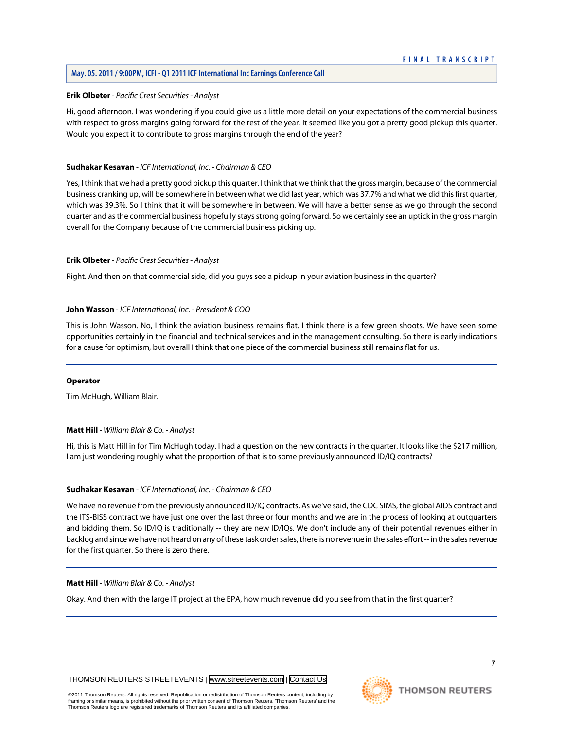# <span id="page-7-0"></span>**Erik Olbeter** *- Pacific Crest Securities - Analyst*

Hi, good afternoon. I was wondering if you could give us a little more detail on your expectations of the commercial business with respect to gross margins going forward for the rest of the year. It seemed like you got a pretty good pickup this quarter. Would you expect it to contribute to gross margins through the end of the year?

# **Sudhakar Kesavan** *- ICF International, Inc. - Chairman & CEO*

Yes, I think that we had a pretty good pickup this quarter. I think that we think that the gross margin, because of the commercial business cranking up, will be somewhere in between what we did last year, which was 37.7% and what we did this first quarter, which was 39.3%. So I think that it will be somewhere in between. We will have a better sense as we go through the second quarter and as the commercial business hopefully stays strong going forward. So we certainly see an uptick in the gross margin overall for the Company because of the commercial business picking up.

# **Erik Olbeter** *- Pacific Crest Securities - Analyst*

Right. And then on that commercial side, did you guys see a pickup in your aviation business in the quarter?

# **John Wasson** *- ICF International, Inc. - President & COO*

This is John Wasson. No, I think the aviation business remains flat. I think there is a few green shoots. We have seen some opportunities certainly in the financial and technical services and in the management consulting. So there is early indications for a cause for optimism, but overall I think that one piece of the commercial business still remains flat for us.

#### <span id="page-7-1"></span>**Operator**

Tim McHugh, William Blair.

# **Matt Hill** *- William Blair & Co. - Analyst*

Hi, this is Matt Hill in for Tim McHugh today. I had a question on the new contracts in the quarter. It looks like the \$217 million, I am just wondering roughly what the proportion of that is to some previously announced ID/IQ contracts?

#### **Sudhakar Kesavan** *- ICF International, Inc. - Chairman & CEO*

We have no revenue from the previously announced ID/IQ contracts. As we've said, the CDC SIMS, the global AIDS contract and the ITS-BISS contract we have just one over the last three or four months and we are in the process of looking at outquarters and bidding them. So ID/IQ is traditionally -- they are new ID/IQs. We don't include any of their potential revenues either in backlog and since we have not heard on any of these task order sales, there is no revenue in the sales effort -- in the sales revenue for the first quarter. So there is zero there.

# **Matt Hill** *- William Blair & Co. - Analyst*

Okay. And then with the large IT project at the EPA, how much revenue did you see from that in the first quarter?



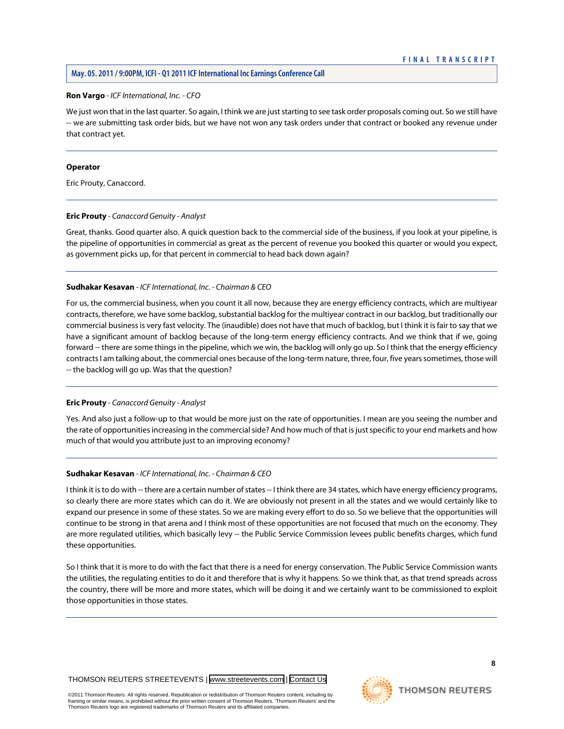# **Ron Vargo** *- ICF International, Inc. - CFO*

We just won that in the last quarter. So again, I think we are just starting to see task order proposals coming out. So we still have -- we are submitting task order bids, but we have not won any task orders under that contract or booked any revenue under that contract yet.

#### **Operator**

<span id="page-8-0"></span>Eric Prouty, Canaccord.

# **Eric Prouty** *- Canaccord Genuity - Analyst*

Great, thanks. Good quarter also. A quick question back to the commercial side of the business, if you look at your pipeline, is the pipeline of opportunities in commercial as great as the percent of revenue you booked this quarter or would you expect, as government picks up, for that percent in commercial to head back down again?

# **Sudhakar Kesavan** *- ICF International, Inc. - Chairman & CEO*

For us, the commercial business, when you count it all now, because they are energy efficiency contracts, which are multiyear contracts, therefore, we have some backlog, substantial backlog for the multiyear contract in our backlog, but traditionally our commercial business is very fast velocity. The (inaudible) does not have that much of backlog, but I think it is fair to say that we have a significant amount of backlog because of the long-term energy efficiency contracts. And we think that if we, going forward -- there are some things in the pipeline, which we win, the backlog will only go up. So I think that the energy efficiency contracts I am talking about, the commercial ones because of the long-term nature, three, four, five years sometimes, those will -- the backlog will go up. Was that the question?

# **Eric Prouty** *- Canaccord Genuity - Analyst*

Yes. And also just a follow-up to that would be more just on the rate of opportunities. I mean are you seeing the number and the rate of opportunities increasing in the commercial side? And how much of that is just specific to your end markets and how much of that would you attribute just to an improving economy?

# **Sudhakar Kesavan** *- ICF International, Inc. - Chairman & CEO*

I think it is to do with -- there are a certain number of states -- I think there are 34 states, which have energy efficiency programs, so clearly there are more states which can do it. We are obviously not present in all the states and we would certainly like to expand our presence in some of these states. So we are making every effort to do so. So we believe that the opportunities will continue to be strong in that arena and I think most of these opportunities are not focused that much on the economy. They are more regulated utilities, which basically levy -- the Public Service Commission levees public benefits charges, which fund these opportunities.

So I think that it is more to do with the fact that there is a need for energy conservation. The Public Service Commission wants the utilities, the regulating entities to do it and therefore that is why it happens. So we think that, as that trend spreads across the country, there will be more and more states, which will be doing it and we certainly want to be commissioned to exploit those opportunities in those states.



Thomson Reuters logo are registered trademarks of Thomson Reuters and its affiliated companies.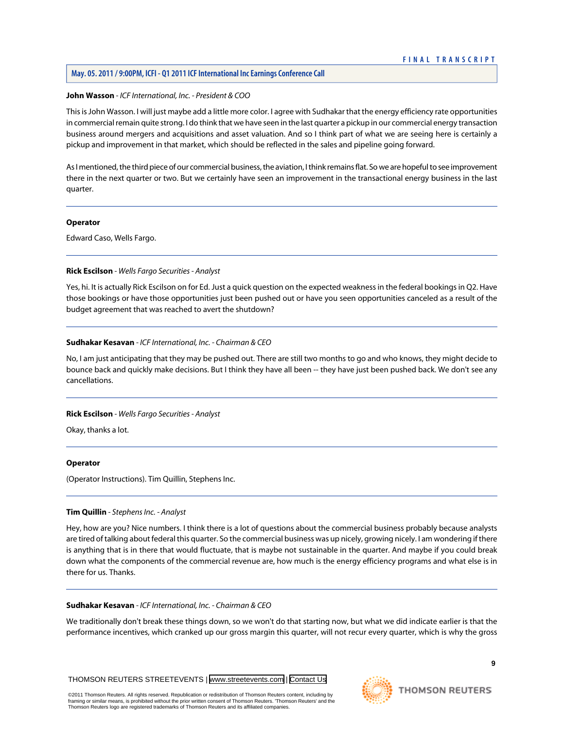# **May. 05. 2011 / 9:00PM, ICFI - Q1 2011 ICF International Inc Earnings Conference Call**

# **John Wasson** *- ICF International, Inc. - President & COO*

This is John Wasson. I will just maybe add a little more color. I agree with Sudhakar that the energy efficiency rate opportunities in commercial remain quite strong. I do think that we have seen in the last quarter a pickup in our commercial energy transaction business around mergers and acquisitions and asset valuation. And so I think part of what we are seeing here is certainly a pickup and improvement in that market, which should be reflected in the sales and pipeline going forward.

As I mentioned, the third piece of our commercial business, the aviation, I think remains flat. So we are hopeful to see improvement there in the next quarter or two. But we certainly have seen an improvement in the transactional energy business in the last quarter.

# **Operator**

<span id="page-9-0"></span>Edward Caso, Wells Fargo.

# **Rick Escilson** *- Wells Fargo Securities - Analyst*

Yes, hi. It is actually Rick Escilson on for Ed. Just a quick question on the expected weakness in the federal bookings in Q2. Have those bookings or have those opportunities just been pushed out or have you seen opportunities canceled as a result of the budget agreement that was reached to avert the shutdown?

# **Sudhakar Kesavan** *- ICF International, Inc. - Chairman & CEO*

No, I am just anticipating that they may be pushed out. There are still two months to go and who knows, they might decide to bounce back and quickly make decisions. But I think they have all been -- they have just been pushed back. We don't see any cancellations.

# **Rick Escilson** *- Wells Fargo Securities - Analyst*

Okay, thanks a lot.

# <span id="page-9-1"></span>**Operator**

(Operator Instructions). Tim Quillin, Stephens Inc.

# **Tim Quillin** *- Stephens Inc. - Analyst*

Hey, how are you? Nice numbers. I think there is a lot of questions about the commercial business probably because analysts are tired of talking about federal this quarter. So the commercial business was up nicely, growing nicely. I am wondering if there is anything that is in there that would fluctuate, that is maybe not sustainable in the quarter. And maybe if you could break down what the components of the commercial revenue are, how much is the energy efficiency programs and what else is in there for us. Thanks.

# **Sudhakar Kesavan** *- ICF International, Inc. - Chairman & CEO*

We traditionally don't break these things down, so we won't do that starting now, but what we did indicate earlier is that the performance incentives, which cranked up our gross margin this quarter, will not recur every quarter, which is why the gross